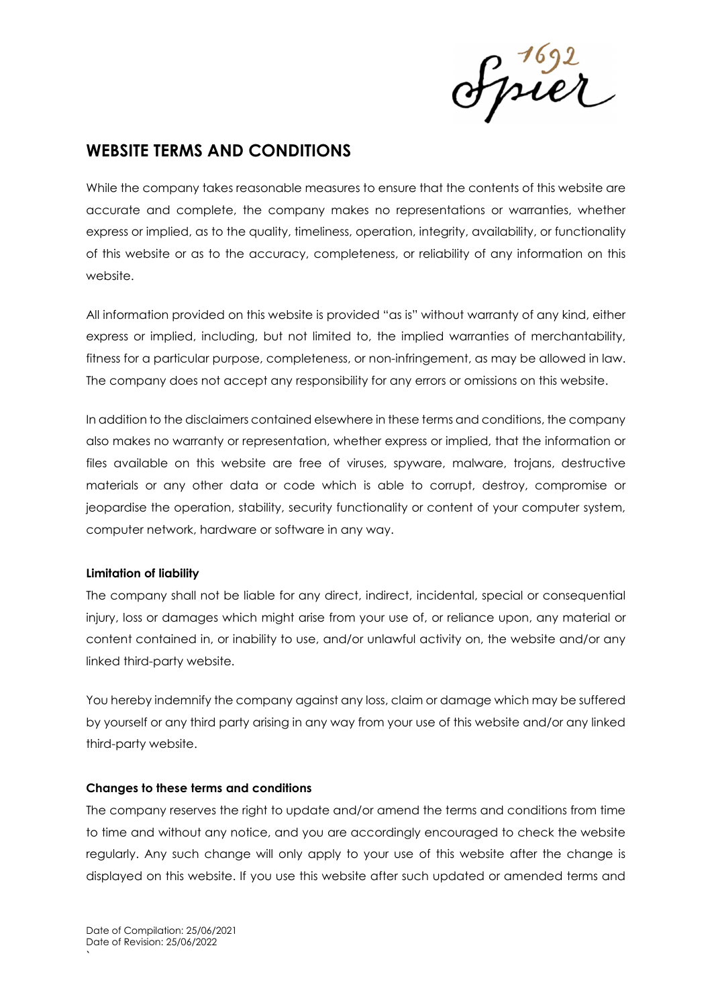Spier

# WEBSITE TERMS AND CONDITIONS

While the company takes reasonable measures to ensure that the contents of this website are accurate and complete, the company makes no representations or warranties, whether express or implied, as to the quality, timeliness, operation, integrity, availability, or functionality of this website or as to the accuracy, completeness, or reliability of any information on this website.

All information provided on this website is provided "as is" without warranty of any kind, either express or implied, including, but not limited to, the implied warranties of merchantability, fitness for a particular purpose, completeness, or non-infringement, as may be allowed in law. The company does not accept any responsibility for any errors or omissions on this website.

In addition to the disclaimers contained elsewhere in these terms and conditions, the company also makes no warranty or representation, whether express or implied, that the information or files available on this website are free of viruses, spyware, malware, trojans, destructive materials or any other data or code which is able to corrupt, destroy, compromise or jeopardise the operation, stability, security functionality or content of your computer system, computer network, hardware or software in any way.

#### Limitation of liability

The company shall not be liable for any direct, indirect, incidental, special or consequential injury, loss or damages which might arise from your use of, or reliance upon, any material or content contained in, or inability to use, and/or unlawful activity on, the website and/or any linked third-party website.

You hereby indemnify the company against any loss, claim or damage which may be suffered by yourself or any third party arising in any way from your use of this website and/or any linked third-party website.

## Changes to these terms and conditions

The company reserves the right to update and/or amend the terms and conditions from time to time and without any notice, and you are accordingly encouraged to check the website regularly. Any such change will only apply to your use of this website after the change is displayed on this website. If you use this website after such updated or amended terms and

`